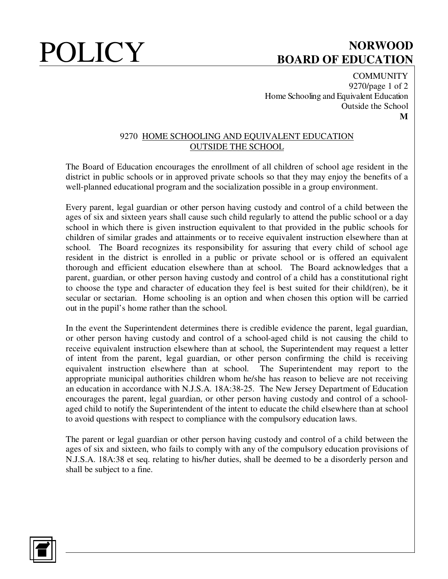# POLICY BOARD OF FOUCATION **BOARD OF EDUCATION**

**COMMUNITY** 9270/page 1 of 2 Home Schooling and Equivalent Education Outside the School **M**

### 9270HOME SCHOOLING AND EQUIVALENT EDUCATION OUTSIDE THE SCHOOL

The Board of Education encourages the enrollment of all children of school age resident in the district in public schools or in approved private schools so that they may enjoy the benefits of a well-planned educational program and the socialization possible in a group environment.

Every parent, legal guardian or other person having custody and control of a child between the ages of six and sixteen years shall cause such child regularly to attend the public school or a day school in which there is given instruction equivalent to that provided in the public schools for children of similar grades and attainments or to receive equivalent instruction elsewhere than at school. The Board recognizes its responsibility for assuring that every child of school age resident in the district is enrolled in a public or private school or is offered an equivalent thorough and efficient education elsewhere than at school. The Board acknowledges that a parent, guardian, or other person having custody and control of a child has a constitutional right to choose the type and character of education they feel is best suited for their child(ren), be it secular or sectarian. Home schooling is an option and when chosen this option will be carried out in the pupil's home rather than the school.

In the event the Superintendent determines there is credible evidence the parent, legal guardian, or other person having custody and control of a school-aged child is not causing the child to receive equivalent instruction elsewhere than at school, the Superintendent may request a letter of intent from the parent, legal guardian, or other person confirming the child is receiving equivalent instruction elsewhere than at school. The Superintendent may report to the appropriate municipal authorities children whom he/she has reason to believe are not receiving an education in accordance with N.J.S.A. 18A:38-25. The New Jersey Department of Education encourages the parent, legal guardian, or other person having custody and control of a schoolaged child to notify the Superintendent of the intent to educate the child elsewhere than at school to avoid questions with respect to compliance with the compulsory education laws.

The parent or legal guardian or other person having custody and control of a child between the ages of six and sixteen, who fails to comply with any of the compulsory education provisions of N.J.S.A. 18A:38 et seq. relating to his/her duties, shall be deemed to be a disorderly person and shall be subject to a fine.